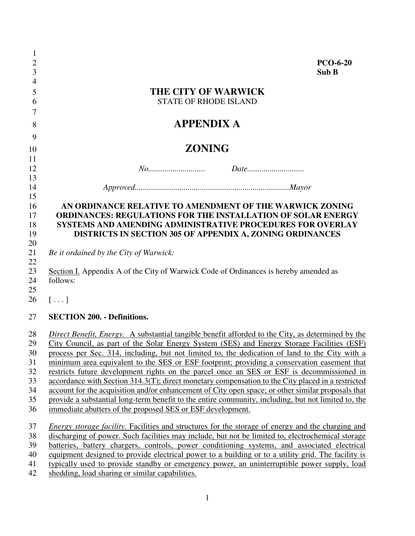| 1                |                                                                                                          |
|------------------|----------------------------------------------------------------------------------------------------------|
| $\boldsymbol{2}$ | <b>PCO-6-20</b>                                                                                          |
| 3                | Sub B                                                                                                    |
| $\overline{4}$   |                                                                                                          |
| 5                | <b>THE CITY OF WARWICK</b>                                                                               |
| 6                | <b>STATE OF RHODE ISLAND</b>                                                                             |
| 7                |                                                                                                          |
| 8                | <b>APPENDIX A</b>                                                                                        |
| 9                |                                                                                                          |
| 10               | <b>ZONING</b>                                                                                            |
| 11               |                                                                                                          |
| 12               |                                                                                                          |
| 13               |                                                                                                          |
| 14               |                                                                                                          |
| 15               |                                                                                                          |
| 16               | AN ORDINANCE RELATIVE TO AMENDMENT OF THE WARWICK ZONING                                                 |
| 17               | <b>ORDINANCES: REGULATIONS FOR THE INSTALLATION OF SOLAR ENERGY</b>                                      |
| 18               | <b>SYSTEMS AND AMENDING ADMINISTRATIVE PROCEDURES FOR OVERLAY</b>                                        |
| 19               | DISTRICTS IN SECTION 305 OF APPENDIX A, ZONING ORDINANCES                                                |
| 20               |                                                                                                          |
| 21               | Be it ordained by the City of Warwick:                                                                   |
| 22               |                                                                                                          |
| 23               | Section I. Appendix A of the City of Warwick Code of Ordinances is hereby amended as<br>follows:         |
| 24<br>25         |                                                                                                          |
| 26               | $[\,\ldots\,]$                                                                                           |
|                  |                                                                                                          |
| 27               | <b>SECTION 200. - Definitions.</b>                                                                       |
| 28               | Direct Benefit, Energy. A substantial tangible benefit afforded to the City, as determined by the        |
| 29               | City Council, as part of the Solar Energy System (SES) and Energy Storage Facilities (ESF)               |
| 30               | process per Sec. 314, including, but not limited to, the dedication of land to the City with a           |
| 31               | minimum area equivalent to the SES or ESF footprint; providing a conservation easement that              |
| 32               | restricts future development rights on the parcel once an SES or ESF is decommissioned in                |
| 33               | accordance with Section 314.3(T); direct monetary compensation to the City placed in a restricted        |
| 34               | account for the acquisition and/or enhancement of City open space; or other similar proposals that       |
| 35               | provide a substantial long-term benefit to the entire community, including, but not limited to, the      |
| 36               | immediate abutters of the proposed SES or ESF development.                                               |
| 37               | <i>Energy storage facility.</i> Facilities and structures for the storage of energy and the charging and |
| 38               | discharging of power. Such facilities may include, but not be limited to, electrochemical storage        |
| 39               | batteries, battery chargers, controls, power conditioning systems, and associated electrical             |
| 40               | equipment designed to provide electrical power to a building or to a utility grid. The facility is       |
| 41               | typically used to provide standby or emergency power, an uninterruptible power supply, load              |
| 42               | shedding, load sharing or similar capabilities.                                                          |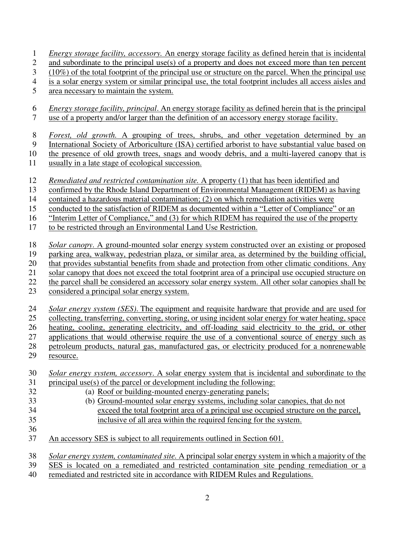|  |  |  | <i>Energy storage facility, accessory.</i> An energy storage facility as defined herein that is incidental |
|--|--|--|------------------------------------------------------------------------------------------------------------|
|  |  |  |                                                                                                            |

2 and subordinate to the principal use(s) of a property and does not exceed more than ten percent

- 3 (10%) of the total footprint of the principal use or structure on the parcel. When the principal use
- 4 is a solar energy system or similar principal use, the total footprint includes all access aisles and
- 5 area necessary to maintain the system.
- 6 *Energy storage facility, principal*. An energy storage facility as defined herein that is the principal 7 use of a property and/or larger than the definition of an accessory energy storage facility.
- 8 *Forest, old growth.* A grouping of trees, shrubs, and other vegetation determined by an
- 9 International Society of Arboriculture (ISA) certified arborist to have substantial value based on
- 10 the presence of old growth trees, snags and woody debris, and a multi-layered canopy that is
- 11 usually in a late stage of ecological succession.
- 12 *Remediated and restricted contamination site.* A property (1) that has been identified and
- 13 confirmed by the Rhode Island Department of Environmental Management (RIDEM) as having
- 14 contained a hazardous material contamination; (2) on which remediation activities were
- 15 conducted to the satisfaction of RIDEM as documented within a "Letter of Compliance" or an
- 16 "Interim Letter of Compliance," and (3) for which RIDEM has required the use of the property
- 17 to be restricted through an Environmental Land Use Restriction.
- 18 *Solar canopy*. A ground-mounted solar energy system constructed over an existing or proposed
- 19 parking area, walkway, pedestrian plaza, or similar area, as determined by the building official,
- 20 that provides substantial benefits from shade and protection from other climatic conditions. Any
- 21 solar canopy that does not exceed the total footprint area of a principal use occupied structure on
- 22 the parcel shall be considered an accessory solar energy system. All other solar canopies shall be
- 23 considered a principal solar energy system.
- 24 *Solar energy system (SES)*. The equipment and requisite hardware that provide and are used for
- 25 collecting, transferring, converting, storing, or using incident solar energy for water heating, space
- 26 heating, cooling, generating electricity, and off-loading said electricity to the grid, or other
- 27 applications that would otherwise require the use of a conventional source of energy such as
- 28 petroleum products, natural gas, manufactured gas, or electricity produced for a nonrenewable
- 29 resource.
- 30 *Solar energy system, accessory*. A solar energy system that is incidental and subordinate to the 31 principal use(s) of the parcel or development including the following:
- 32 (a) Roof or building-mounted energy-generating panels;
- 33 (b) Ground-mounted solar energy systems, including solar canopies, that do not
- 34 exceed the total footprint area of a principal use occupied structure on the parcel, 35 inclusive of all area within the required fencing for the system.
- 36
- 37 An accessory SES is subject to all requirements outlined in Section 601.
- 38 *Solar energy system, contaminated site.* A principal solar energy system in which a majority of the
- 39 SES is located on a remediated and restricted contamination site pending remediation or a
- 40 remediated and restricted site in accordance with RIDEM Rules and Regulations.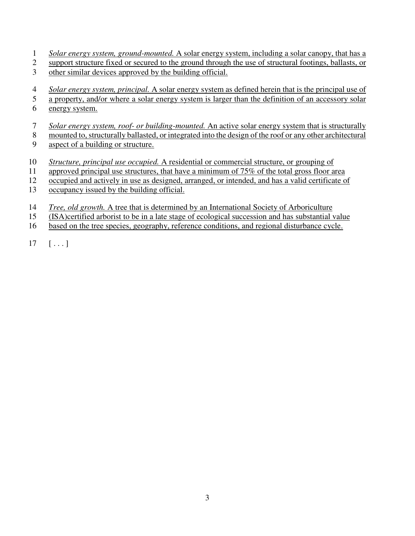- 1 *[Solar](https://www.ecode360.com/32289967#32289967) energy system, ground-mounted.* A solar energy system, including a solar canopy, that has a
- 2 support structure fixed or secured to the ground through the use of structural footings, ballasts, or 3 other similar devices approved by the building official.
- 4 *Solar energy system, principal.* A solar energy system as defined herein that is the principal use of
- 5 a property, and/or where a solar energy system is larger than the definition of an accessory solar 6 energy system.
- 
- 7 *[Solar](https://www.ecode360.com/32289973#32289973) energy system, roof- or building-mounted.* An active solar energy system that is structurally
- 8 mounted to, structurally ballasted, or integrated into the design of the roof or any other architectural
- 9 aspect of a building or structure.
- 10 *Structure, principal use occupied.* A residential or commercial structure, or grouping of
- 11 approved principal use structures, that have a minimum of 75% of the total gross floor area
- 12 occupied and actively in use as designed, arranged, or intended, and has a valid certificate of
- 13 occupancy issued by the building official.
- 14 *Tree, old growth.* A tree that is determined by an International Society of Arboriculture
- 15 (ISA)certified arborist to be in a late stage of ecological succession and has substantial value
- 16 based on the tree species, geography, reference conditions, and regional disturbance cycle.
- $17 \quad [\ldots]$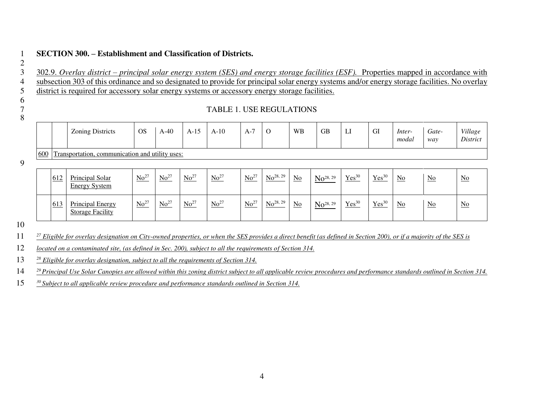## 1 **SECTION 300. – Establishment and Classification of Districts.**

3 302.9. *Overlay district – principal solar energy system (SES) and energy storage facilities (ESF).* Properties mapped in accordance with 4 subsection 303 of this ordinance and so designated to provide for principal solar energy systems and/or energy storage facilities. No overlay 5 district is required for accessory solar energy systems or accessory energy storage facilities.

## 6 7 TABLE 1. USE REGULATIONS 8

2

|     |     | <b>Zoning Districts</b>                            | <b>OS</b> | $A-40$           | $A-15$    | $A-10$    | $A-7$     |               | <b>WB</b>                 | <b>GB</b>     | LI                | GI                | Inter-<br>modal           | Gate-<br>way     | Village<br>District       |
|-----|-----|----------------------------------------------------|-----------|------------------|-----------|-----------|-----------|---------------|---------------------------|---------------|-------------------|-------------------|---------------------------|------------------|---------------------------|
| 600 |     | Transportation, communication and utility uses:    |           |                  |           |           |           |               |                           |               |                   |                   |                           |                  |                           |
|     | 612 | <b>Principal Solar</b><br><b>Energy System</b>     | $No^{27}$ | $No^{27}$        | $No^{27}$ | $No^{27}$ | $No^{27}$ | $No^{28, 29}$ | $\underline{\mathrm{No}}$ | $No^{28, 29}$ | Yes <sup>30</sup> | Yes <sup>30</sup> | $\underline{\mathrm{No}}$ | $\underline{No}$ | $\underline{\mathrm{No}}$ |
|     | 613 | <b>Principal Energy</b><br><b>Storage Facility</b> | $No^{27}$ | No <sup>27</sup> | $No^{27}$ | $No^{27}$ | $No^{27}$ | $No^{28, 29}$ | $\underline{No}$          | $No^{28, 29}$ | $Yes^{30}$        | $Yes^{30}$        | $\underline{\mathrm{No}}$ | $\underline{No}$ | $\underline{\mathrm{No}}$ |

10

9

*<sup>27</sup>* 11 *Eligible for overlay designation on City-owned properties, or when the SES provides a direct benefit (as defined in Section 200), or if a majority of the SES is* 

12 *located on a contaminated site, (as defined in Sec. 200), subject to all the requirements of Section 314.*

*<sup>28</sup>* 13 *Eligible for overlay designation, subject to all the requirements of Section 314.* 

*<sup>29</sup>*14 *Principal Use Solar Canopies are allowed within this zoning district subject to all applicable review procedures and performance standards outlined in Section 314.* 

*30* 15 *Subject to all applicable review procedure and performance standards outlined in Section 314.*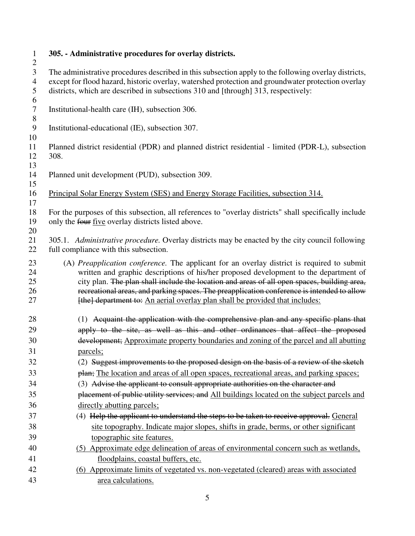| $\mathbf{1}$     | 305. - Administrative procedures for overlay districts.                                               |
|------------------|-------------------------------------------------------------------------------------------------------|
| $\overline{2}$   |                                                                                                       |
| 3                | The administrative procedures described in this subsection apply to the following overlay districts,  |
| $\overline{4}$   | except for flood hazard, historic overlay, watershed protection and groundwater protection overlay    |
| 5                | districts, which are described in subsections 310 and [through] 313, respectively:                    |
| 6                |                                                                                                       |
| $\boldsymbol{7}$ | Institutional-health care (IH), subsection 306.                                                       |
| $8\,$            |                                                                                                       |
| 9                | Institutional-educational (IE), subsection 307.                                                       |
| 10<br>11         | Planned district residential (PDR) and planned district residential - limited (PDR-L), subsection     |
| 12               | 308.                                                                                                  |
| 13               |                                                                                                       |
| 14               | Planned unit development (PUD), subsection 309.                                                       |
| 15               |                                                                                                       |
| 16               | Principal Solar Energy System (SES) and Energy Storage Facilities, subsection 314.                    |
| 17               |                                                                                                       |
| 18               | For the purposes of this subsection, all references to "overlay districts" shall specifically include |
| 19               | only the four five overlay districts listed above.                                                    |
| 20               |                                                                                                       |
| 21               | 305.1. Administrative procedure. Overlay districts may be enacted by the city council following       |
| 22               | full compliance with this subsection.                                                                 |
| 23               | (A) Preapplication conference. The applicant for an overlay district is required to submit            |
| 24               | written and graphic descriptions of his/her proposed development to the department of                 |
| 25               | city plan. The plan shall include the location and areas of all open spaces, building area,           |
| 26               | recreational areas, and parking spaces. The preapplication conference is intended to allow            |
| 27               | [the] department to: An aerial overlay plan shall be provided that includes:                          |
|                  |                                                                                                       |
| 28               | (1) Acquaint the application with the comprehensive plan and any specific plans that                  |
| 29               | apply to the site, as well as this and other ordinances that affect the proposed                      |
| 30               | development; Approximate property boundaries and zoning of the parcel and all abutting                |
| 31               | parcels;                                                                                              |
| 32               | (2) Suggest improvements to the proposed design on the basis of a review of the sketch                |
| 33               | plan; The location and areas of all open spaces, recreational areas, and parking spaces;              |
| 34               | (3) Advise the applicant to consult appropriate authorities on the character and                      |
| 35               | placement of public utility services; and All buildings located on the subject parcels and            |
| 36               | directly abutting parcels;                                                                            |
| 37               | (4) Help the applicant to understand the steps to be taken to receive approval. General               |
| 38               | site topography. Indicate major slopes, shifts in grade, berms, or other significant                  |
| 39               | topographic site features.                                                                            |
| 40               | (5) Approximate edge delineation of areas of environmental concern such as wetlands,                  |
| 41               | floodplains, coastal buffers, etc.                                                                    |
| 42               | (6) Approximate limits of vegetated vs. non-vegetated (cleared) areas with associated                 |
|                  |                                                                                                       |
| 43               | area calculations.                                                                                    |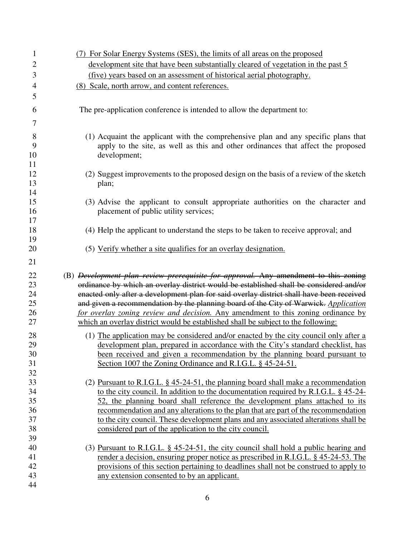| 1              | (7) For Solar Energy Systems (SES), the limits of all areas on the proposed                                                          |
|----------------|--------------------------------------------------------------------------------------------------------------------------------------|
| $\overline{2}$ | development site that have been substantially cleared of vegetation in the past 5                                                    |
| 3              | (five) years based on an assessment of historical aerial photography.                                                                |
| 4              | (8) Scale, north arrow, and content references.                                                                                      |
| 5              |                                                                                                                                      |
|                |                                                                                                                                      |
| 6              | The pre-application conference is intended to allow the department to:                                                               |
| 7              |                                                                                                                                      |
| 8              | (1) Acquaint the applicant with the comprehensive plan and any specific plans that                                                   |
| 9              | apply to the site, as well as this and other ordinances that affect the proposed                                                     |
| 10             | development;                                                                                                                         |
| 11             |                                                                                                                                      |
| 12             | (2) Suggest improvements to the proposed design on the basis of a review of the sketch                                               |
| 13             | plan;                                                                                                                                |
| 14             |                                                                                                                                      |
| 15             | (3) Advise the applicant to consult appropriate authorities on the character and                                                     |
| 16             | placement of public utility services;                                                                                                |
| 17             |                                                                                                                                      |
| 18<br>19       | (4) Help the applicant to understand the steps to be taken to receive approval; and                                                  |
| 20             | (5) Verify whether a site qualifies for an overlay designation.                                                                      |
|                |                                                                                                                                      |
| 21             |                                                                                                                                      |
|                |                                                                                                                                      |
| 22             | (B) <i>Development plan review prerequisite for approval. Any amendment to this zoning</i>                                           |
| 23             | ordinance by which an overlay district would be established shall be considered and/or                                               |
| 24             | enacted only after a development plan for said overlay district shall have been received                                             |
| 25             | and given a recommendation by the planning board of the City of Warwick. Application                                                 |
| 26             | for overlay zoning review and decision. Any amendment to this zoning ordinance by                                                    |
| 27             | which an overlay district would be established shall be subject to the following:                                                    |
| 28             | (1) The application may be considered and/or enacted by the city council only after a                                                |
| 29             | development plan, prepared in accordance with the City's standard checklist, has                                                     |
| 30             | been received and given a recommendation by the planning board pursuant to                                                           |
| 31             | Section 1007 the Zoning Ordinance and R.I.G.L. § 45-24-51.                                                                           |
| 32             |                                                                                                                                      |
| 33             | (2) Pursuant to R.I.G.L. $\S$ 45-24-51, the planning board shall make a recommendation                                               |
| 34             | to the city council. In addition to the documentation required by R.I.G.L. § 45-24-                                                  |
| 35             | 52, the planning board shall reference the development plans attached to its                                                         |
| 36             | recommendation and any alterations to the plan that are part of the recommendation                                                   |
| 37             | to the city council. These development plans and any associated alterations shall be                                                 |
| 38             | considered part of the application to the city council.                                                                              |
| 39             |                                                                                                                                      |
| 40             | (3) Pursuant to R.I.G.L. $\S$ 45-24-51, the city council shall hold a public hearing and                                             |
| 41<br>42       | render a decision, ensuring proper notice as prescribed in R.I.G.L. § 45-24-53. The                                                  |
| 43             | provisions of this section pertaining to deadlines shall not be construed to apply to<br>any extension consented to by an applicant. |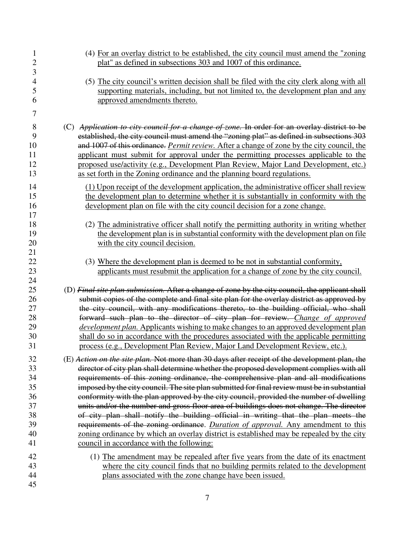| $\mathbf{1}$             | (4) For an overlay district to be established, the city council must amend the "zoning"            |
|--------------------------|----------------------------------------------------------------------------------------------------|
| $\overline{c}$           | plat" as defined in subsections 303 and 1007 of this ordinance.                                    |
| 3                        |                                                                                                    |
| $\overline{\mathcal{A}}$ | (5) The city council's written decision shall be filed with the city clerk along with all          |
| 5                        | supporting materials, including, but not limited to, the development plan and any                  |
| 6                        | approved amendments thereto.                                                                       |
|                          |                                                                                                    |
| 7                        |                                                                                                    |
| 8                        | (C) Application to city council for a change of zone. In order for an overlay district to be       |
| 9                        | established, the city council must amend the "zoning plat" as defined in subsections 303           |
| 10                       | and 1007 of this ordinance. <i>Permit review</i> . After a change of zone by the city council, the |
| 11                       | applicant must submit for approval under the permitting processes applicable to the                |
| 12                       | proposed use/activity (e.g., Development Plan Review, Major Land Development, etc.)                |
| 13                       | as set forth in the Zoning ordinance and the planning board regulations.                           |
| 14                       | (1) Upon receipt of the development application, the administrative officer shall review           |
| 15                       | the development plan to determine whether it is substantially in conformity with the               |
| 16                       | development plan on file with the city council decision for a zone change.                         |
| 17                       |                                                                                                    |
| 18                       | (2) The administrative officer shall notify the permitting authority in writing whether            |
| 19                       | the development plan is in substantial conformity with the development plan on file                |
| 20                       | with the city council decision.                                                                    |
| 21                       |                                                                                                    |
| 22                       | (3) Where the development plan is deemed to be not in substantial conformity,                      |
| 23                       | applicants must resubmit the application for a change of zone by the city council.                 |
| 24                       |                                                                                                    |
| 25                       | (D) Final site plan submission. After a change of zone by the city council, the applicant shall    |
| 26                       | submit copies of the complete and final site plan for the overlay district as approved by          |
| 27                       | the city council, with any modifications thereto, to the building official, who shall              |
| 28                       | forward such plan to the director of city plan for review. Change of approved                      |
| 29                       | <i>development plan.</i> Applicants wishing to make changes to an approved development plan        |
| 30                       | shall do so in accordance with the procedures associated with the applicable permitting            |
| 31                       | process (e.g., Development Plan Review, Major Land Development Review, etc.).                      |
| 32                       | (E) Action on the site plan. Not more than 30 days after receipt of the development plan, the      |
| 33                       | director of city plan shall determine whether the proposed development complies with all           |
| 34                       | requirements of this zoning ordinance, the comprehensive plan and all modifications                |
| 35                       | imposed by the city council. The site plan submitted for final review must be in substantial       |
| 36                       | conformity with the plan approved by the city council, provided the number of dwelling             |
| 37                       | units and/or the number and gross floor area of buildings does not change. The director            |
| 38                       | of city plan shall notify the building official in writing that the plan meets the                 |
| 39                       | requirements of the zoning ordinance. <i>Duration of approval</i> . Any amendment to this          |
| 40                       | zoning ordinance by which an overlay district is established may be repealed by the city           |
| 41                       | council in accordance with the following:                                                          |
| 42                       | (1) The amendment may be repealed after five years from the date of its enactment                  |
| 43                       | where the city council finds that no building permits related to the development                   |
| 44                       | plans associated with the zone change have been issued.                                            |
| 45                       |                                                                                                    |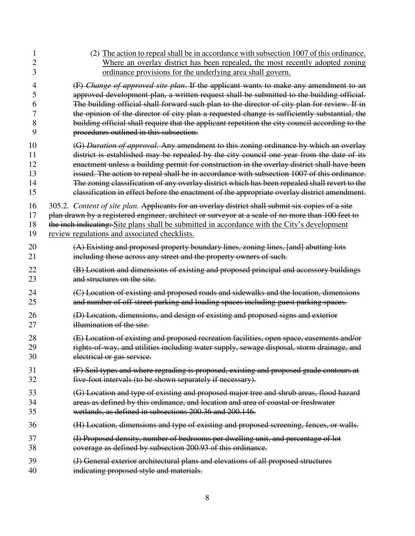| 1  | (2) The action to repeal shall be in accordance with subsection 1007 of this ordinance.           |
|----|---------------------------------------------------------------------------------------------------|
| 2  | Where an overlay district has been repealed, the most recently adopted zoning                     |
| 3  | ordinance provisions for the underlying area shall govern.                                        |
| 4  | (F) Change of approved site plan. If the applicant wants to make any amendment to an              |
| 5  | approved development plan, a written request shall be submitted to the building official.         |
| 6  | The building official shall forward such plan to the director of city plan for review. If in      |
| 7  | the opinion of the director of city plan a requested change is sufficiently substantial, the      |
| 8  | building official shall require that the applicant repetition the city council according to the   |
| 9  | procedures outlined in this subsection.                                                           |
| 10 | (G) Duration of approval. Any amendment to this zoning ordinance by which an overlay              |
| 11 | district is established may be repealed by the city council one year from the date of its         |
| 12 | enactment unless a building permit for construction in the overlay district shall have been       |
| 13 | issued. The action to repeal shall be in accordance with subsection 1007 of this ordinance.       |
| 14 | The zoning classification of any overlay district which has been repealed shall revert to the     |
| 15 | classification in effect before the enactment of the appropriate overlay district amendment.      |
| 16 | 305.2. Content of site plan. Applicants for an overlay district shall submit six copies of a site |
| 17 | plan drawn by a registered engineer, architect or surveyor at a scale of no more than 100 feet to |
| 18 | the inch indicating: Site plans shall be submitted in accordance with the City's development      |
| 19 | review regulations and associated checklists.                                                     |
| 20 | (A) Existing and proposed property boundary lines, zoning lines, [and] abutting lots              |
| 21 | including those across any street and the property owners of such.                                |
| 22 | (B) Location and dimensions of existing and proposed principal and accessory buildings            |
| 23 | and structures on the site.                                                                       |
| 24 | (C) Location of existing and proposed roads and sidewalks and the location, dimensions            |
| 25 | and number of off-street parking and loading spaces including guest parking spaces.               |
| 26 | (D) Location, dimensions, and design of existing and proposed signs and exterior                  |
| 27 | illumination of the site.                                                                         |
| 28 | (E) Location of existing and proposed recreation facilities, open space, easements and/or         |
| 29 | rights of way, and utilities including water supply, sewage disposal, storm drainage, and         |
| 30 | electrical or gas service.                                                                        |
| 31 | (F) Soil types and where regrading is proposed, existing and proposed grade contours at           |
| 32 | five-foot intervals (to be shown separately if necessary).                                        |
| 33 | (G) Location and type of existing and proposed major tree and shrub areas, flood hazard           |
| 34 | areas as defined by this ordinance, and location and area of coastal or freshwater                |
| 35 | wetlands, as defined in subsections 200.36 and 200.146.                                           |
| 36 | (H) Location, dimensions and type of existing and proposed screening, fences, or walls.           |
| 37 | (I) Proposed density, number of bedrooms per dwelling unit, and percentage of lot                 |
| 38 | coverage as defined by subsection 200.93 of this ordinance.                                       |
| 39 | (J) General exterior architectural plans and elevations of all proposed structures                |
| 40 | indicating proposed style and materials.                                                          |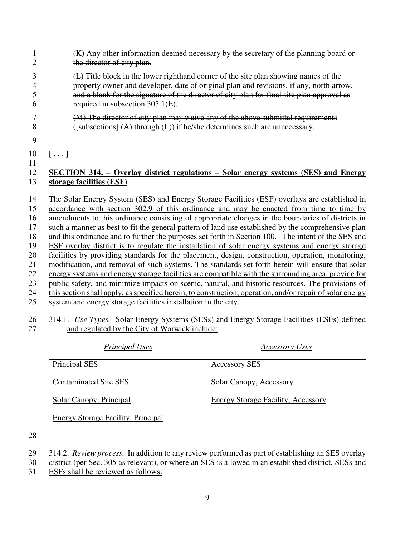- 1 (K) Any other information deemed necessary by the secretary of the planning board or 2 the director of city plan.
- 3 (L) Title block in the lower righthand corner of the site plan showing names of the 4 property owner and developer, date of original plan and revisions, if any, north arrow, 5 and a blank for the signature of the director of city plan for final site plan approval as 6 required in subsection 305.1(E).
- 7 (M) The director of city plan may waive any of the above submittal requirements 8 ([subsections] (A) through (L)) if he/she determines such are unnecessary.
- 9

 $10 \quad [\ldots]$ 11

## 12 **SECTION 314. – Overlay district regulations – Solar energy systems (SES) and Energy**  13 **storage facilities (ESF)**

14 The Solar Energy System (SES) and Energy Storage Facilities (ESF) overlays are established in 15 accordance with section 302.9 of this ordinance and may be enacted from time to time by 16 amendments to this ordinance consisting of appropriate changes in the boundaries of districts in 17 such a manner as best to fit the general pattern of land use established by the comprehensive plan 18 and this ordinance and to further the purposes set forth in Section 100. The intent of the SES and 19 ESF overlay district is to regulate the installation of solar energy systems and energy storage 20 facilities by providing standards for the placement, design, construction, operation, monitoring, 21 modification, and removal of such systems. The standards set forth herein will ensure that solar 22 energy systems and energy storage facilities are compatible with the surrounding area, provide for 23 public safety, and minimize impacts on scenic, natural, and historic resources. The provisions of 24 this section shall apply, as specified herein, to construction, operation, and/or repair of solar energy 25 system and energy storage facilities installation in the city.

## 26 314.1. *Use Types.* Solar Energy Systems (SESs) and Energy Storage Facilities (ESFs) defined 27 and regulated by the City of Warwick include: and regulated by the City of Warwick include:

| Principal Uses                            | <b>Accessory Uses</b>                     |
|-------------------------------------------|-------------------------------------------|
| Principal SES                             | <b>Accessory SES</b>                      |
| <b>Contaminated Site SES</b>              | <b>Solar Canopy, Accessory</b>            |
| <b>Solar Canopy, Principal</b>            | <b>Energy Storage Facility, Accessory</b> |
| <b>Energy Storage Facility, Principal</b> |                                           |

- 29 314.2.*Review process.* In addition to any review performed as part of establishing an SES overlay
- 30 district (per Sec. 305 as relevant), or where an SES is allowed in an established district, SESs and
- 31 ESFs shall be reviewed as follows: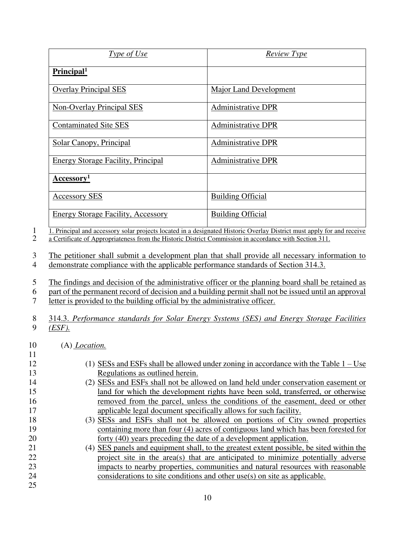| <i><u>Type of Use</u></i>                 | <b>Review Type</b>        |
|-------------------------------------------|---------------------------|
| Principal <sup>1</sup>                    |                           |
| <b>Overlay Principal SES</b>              | Major Land Development    |
| <b>Non-Overlay Principal SES</b>          | <b>Administrative DPR</b> |
| <b>Contaminated Site SES</b>              | <b>Administrative DPR</b> |
| Solar Canopy, Principal                   | Administrative DPR        |
| <b>Energy Storage Facility, Principal</b> | Administrative DPR        |
| Accessory <sup>1</sup>                    |                           |
| <b>Accessory SES</b>                      | <b>Building Official</b>  |
| <b>Energy Storage Facility, Accessory</b> | <b>Building Official</b>  |

1. Principal and accessory solar projects located in a designated Historic Overlay District must apply for and receive a Certificate of Appropriateness from the Historic District Commission in accordance with Section 311. 2 a Certificate of Appropriateness from the Historic District Commission in accordance with Section 311.

3 The petitioner shall submit a development plan that shall provide all necessary information to 4 demonstrate compliance with the applicable performance standards of Section 314.3.

5 The findings and decision of the administrative officer or the planning board shall be retained as 6 part of the permanent record of decision and a building permit shall not be issued until an approval 7 letter is provided to the building official by the administrative officer.

- 8 314.3. *Performance standards for Solar Energy Systems (SES) and Energy Storage Facilities*  9 *(ESF).*
- 10 (A) *Location.*
- 11 12 (1) SESs and ESFs shall be allowed under zoning in accordance with the Table  $1 -$ Use 13 Regulations as outlined herein. 14 (2) SESs and ESFs shall not be allowed on land held under conservation easement or 15 land for which the development rights have been sold, transferred, or otherwise 16 removed from the parcel, unless the conditions of the easement, deed or other 17 applicable legal document specifically allows for such facility. 18 (3) SESs and ESFs shall not be allowed on portions of City owned properties 19 containing more than four (4) acres of contiguous land which has been forested for 20 forty (40) years preceding the date of a development application. 21 (4) SES panels and equipment shall, to the greatest extent possible, be sited within the 22 project site in the area(s) that are anticipated to minimize potentially adverse 23 impacts to nearby properties, communities and natural resources with reasonable 24 considerations to site conditions and other use(s) on site as applicable. 25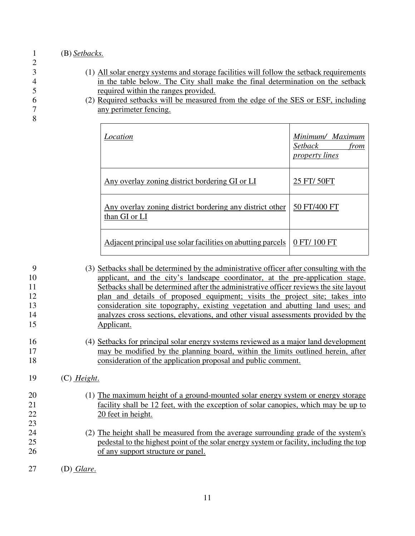2

8

- 3 (1) All solar energy systems and storage facilities will follow the setback requirements 4 in the table below. The City shall make the final determination on the setback<br>5 required within the ranges provided. 5 required within the ranges provided.
- 6 (2) Required setbacks will be measured from the edge of the SES or ESF, including any perimeter fencing.

| Location                                                                  | Minimum/ Maximum<br>Setback<br>from<br><i>property lines</i> |
|---------------------------------------------------------------------------|--------------------------------------------------------------|
| Any overlay zoning district bordering GI or LI                            | 25 FT/ 50FT                                                  |
| Any overlay zoning district bordering any district other<br>than GI or LI | 50 FT/400 FT                                                 |
| Adjacent principal use solar facilities on abutting parcels               | 0 FT/ 100 FT                                                 |

9 (3) Setbacks shall be determined by the administrative officer after consulting with the 10 applicant, and the city's landscape coordinator, at the pre-application stage. 11 Setbacks shall be determined after the administrative officer reviews the site layout 12 plan and details of proposed equipment; visits the project site; takes into 13 consideration site topography, existing vegetation and abutting land uses; and 14 analyzes cross sections, elevations, and other visual assessments provided by the 15 Applicant. 16 (4) Setbacks for principal solar energy systems reviewed as a major land development 17 may be modified by the planning board, within the limits outlined herein, after

18 consideration of the application proposal and public comment.

- 19 (C) *Height*.
- 20 (1) The maximum height of a ground-mounted solar energy system or energy storage 21 facility shall be 12 feet, with the exception of solar canopies, which may be up to 22 20 feet in height.
- 24 (2) The height shall be measured from the average surrounding grade of the system's 25 pedestal to the highest point of the solar energy system or facility, including the top 26 of any support structure or panel.
- 27 (D) *Glare*.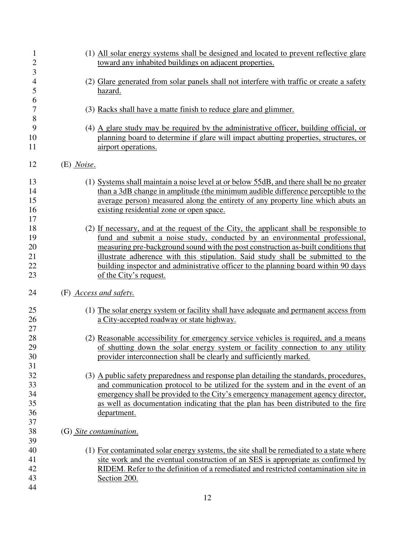| 1<br>$\overline{\mathbf{c}}$ | (1) All solar energy systems shall be designed and located to prevent reflective glare<br>toward any inhabited buildings on adjacent properties. |
|------------------------------|--------------------------------------------------------------------------------------------------------------------------------------------------|
| 3                            |                                                                                                                                                  |
| $\overline{\mathcal{L}}$     | (2) Glare generated from solar panels shall not interfere with traffic or create a safety                                                        |
| 5                            | <u>hazard.</u>                                                                                                                                   |
| 6                            |                                                                                                                                                  |
| $\boldsymbol{7}$             | (3) Racks shall have a matte finish to reduce glare and glimmer.                                                                                 |
| 8                            |                                                                                                                                                  |
| 9                            | (4) A glare study may be required by the administrative officer, building official, or                                                           |
| 10                           | planning board to determine if glare will impact abutting properties, structures, or                                                             |
| 11                           |                                                                                                                                                  |
|                              | airport operations.                                                                                                                              |
| 12                           | $(E)$ Noise.                                                                                                                                     |
| 13                           | (1) Systems shall maintain a noise level at or below 55dB, and there shall be no greater                                                         |
| 14                           | than a 3dB change in amplitude (the minimum audible difference perceptible to the                                                                |
| 15                           | average person) measured along the entirety of any property line which abuts an                                                                  |
| 16                           | existing residential zone or open space.                                                                                                         |
| 17                           |                                                                                                                                                  |
| 18                           | (2) If necessary, and at the request of the City, the applicant shall be responsible to                                                          |
| 19                           | fund and submit a noise study, conducted by an environmental professional,                                                                       |
| 20                           | measuring pre-background sound with the post construction as-built conditions that                                                               |
| 21                           | illustrate adherence with this stipulation. Said study shall be submitted to the                                                                 |
|                              |                                                                                                                                                  |
| 22                           | building inspector and administrative officer to the planning board within 90 days                                                               |
| 23                           | of the City's request.                                                                                                                           |
| 24                           | (F) Access and safety.                                                                                                                           |
| 25                           | (1) The solar energy system or facility shall have adequate and permanent access from                                                            |
| 26                           | a City-accepted roadway or state highway.                                                                                                        |
| 27                           |                                                                                                                                                  |
| 28                           | (2) Reasonable accessibility for emergency service vehicles is required, and a means                                                             |
| 29                           | of shutting down the solar energy system or facility connection to any utility                                                                   |
| 30                           | provider interconnection shall be clearly and sufficiently marked.                                                                               |
| 31                           |                                                                                                                                                  |
| 32                           | (3) A public safety preparedness and response plan detailing the standards, procedures,                                                          |
| 33                           |                                                                                                                                                  |
|                              | and communication protocol to be utilized for the system and in the event of an                                                                  |
| 34                           | emergency shall be provided to the City's emergency management agency director,                                                                  |
| 35                           | as well as documentation indicating that the plan has been distributed to the fire                                                               |
| 36                           | department.                                                                                                                                      |
| 37                           |                                                                                                                                                  |
| 38                           | (G) Site contamination.                                                                                                                          |
| 39                           |                                                                                                                                                  |
| 40                           | (1) For contaminated solar energy systems, the site shall be remediated to a state where                                                         |
| 41                           | site work and the eventual construction of an SES is appropriate as confirmed by                                                                 |
| 42                           | RIDEM. Refer to the definition of a remediated and restricted contamination site in                                                              |
| 43                           | Section 200.                                                                                                                                     |
| 44                           |                                                                                                                                                  |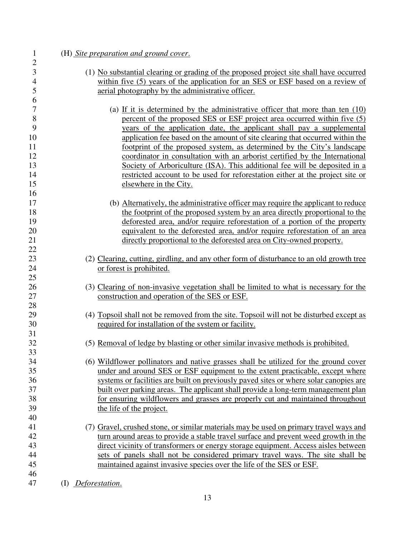| (H) Site preparation and ground cover.                                                   |
|------------------------------------------------------------------------------------------|
|                                                                                          |
| (1) No substantial clearing or grading of the proposed project site shall have occurred  |
| within five (5) years of the application for an SES or ESF based on a review of          |
| aerial photography by the administrative officer.                                        |
|                                                                                          |
| (a) If it is determined by the administrative officer that more than ten $(10)$          |
| percent of the proposed SES or ESF project area occurred within five (5)                 |
| years of the application date, the applicant shall pay a supplemental                    |
| application fee based on the amount of site clearing that occurred within the            |
| footprint of the proposed system, as determined by the City's landscape                  |
| coordinator in consultation with an arborist certified by the International              |
| Society of Arboriculture (ISA). This additional fee will be deposited in a               |
| restricted account to be used for reforestation either at the project site or            |
| elsewhere in the City.                                                                   |
| (b) Alternatively, the administrative officer may require the applicant to reduce        |
| the footprint of the proposed system by an area directly proportional to the             |
| deforested area, and/or require reforestation of a portion of the property               |
| equivalent to the deforested area, and/or require reforestation of an area               |
| directly proportional to the deforested area on City-owned property.                     |
|                                                                                          |
| (2) Clearing, cutting, girdling, and any other form of disturbance to an old growth tree |
| or forest is prohibited.                                                                 |
|                                                                                          |
| (3) Clearing of non-invasive vegetation shall be limited to what is necessary for the    |
| construction and operation of the SES or ESF.                                            |
|                                                                                          |
| (4) Topsoil shall not be removed from the site. Topsoil will not be disturbed except as  |
| required for installation of the system or facility.                                     |
|                                                                                          |
| (5) Removal of ledge by blasting or other similar invasive methods is prohibited.        |
|                                                                                          |
| (6) Wildflower pollinators and native grasses shall be utilized for the ground cover     |
| under and around SES or ESF equipment to the extent practicable, except where            |
| systems or facilities are built on previously paved sites or where solar canopies are    |
| built over parking areas. The applicant shall provide a long-term management plan        |
| for ensuring wildflowers and grasses are properly cut and maintained throughout          |
| the life of the project.                                                                 |
| (7) Gravel, crushed stone, or similar materials may be used on primary travel ways and   |
| turn around areas to provide a stable travel surface and prevent weed growth in the      |
| direct vicinity of transformers or energy storage equipment. Access aisles between       |
| sets of panels shall not be considered primary travel ways. The site shall be            |
| maintained against invasive species over the life of the SES or ESF.                     |
|                                                                                          |
| (I) Deforestation.                                                                       |
|                                                                                          |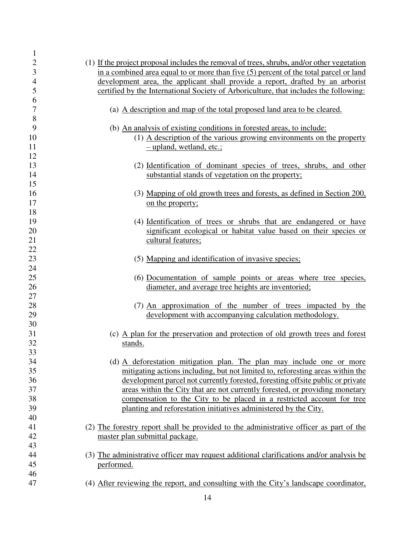| $\mathbf{1}$   |                                                                                            |
|----------------|--------------------------------------------------------------------------------------------|
| $\overline{c}$ | (1) If the project proposal includes the removal of trees, shrubs, and/or other vegetation |
| 3              | in a combined area equal to or more than five (5) percent of the total parcel or land      |
| $\overline{4}$ | development area, the applicant shall provide a report, drafted by an arborist             |
| 5              | certified by the International Society of Arboriculture, that includes the following:      |
| 6              |                                                                                            |
| $\overline{7}$ | (a) A description and map of the total proposed land area to be cleared.                   |
| 8              |                                                                                            |
| 9              | (b) An analysis of existing conditions in forested areas, to include:                      |
| 10             | $(1)$ A description of the various growing environments on the property                    |
| 11             | - upland, wetland, etc.;                                                                   |
| 12             |                                                                                            |
| 13             | (2) Identification of dominant species of trees, shrubs, and other                         |
|                |                                                                                            |
| 14             | substantial stands of vegetation on the property;                                          |
| 15             |                                                                                            |
| 16             | (3) Mapping of old growth trees and forests, as defined in Section 200,                    |
| 17             | on the property;                                                                           |
| 18             |                                                                                            |
| 19             | (4) Identification of trees or shrubs that are endangered or have                          |
| 20             | significant ecological or habitat value based on their species or                          |
| 21             | cultural features;                                                                         |
| 22             |                                                                                            |
| 23             | (5) Mapping and identification of invasive species;                                        |
| 24             |                                                                                            |
| 25             | (6) Documentation of sample points or areas where tree species,                            |
| 26             | diameter, and average tree heights are inventoried;                                        |
| 27             |                                                                                            |
| 28             | (7) An approximation of the number of trees impacted by the                                |
| 29             | development with accompanying calculation methodology.                                     |
| 30             |                                                                                            |
| 31             | (c) A plan for the preservation and protection of old growth trees and forest              |
| 32             | stands.                                                                                    |
| 33             |                                                                                            |
| 34             | (d) A deforestation mitigation plan. The plan may include one or more                      |
| 35             | mitigating actions including, but not limited to, reforesting areas within the             |
| 36             | development parcel not currently forested, foresting offsite public or private             |
| 37             | areas within the City that are not currently forested, or providing monetary               |
| 38             | compensation to the City to be placed in a restricted account for tree                     |
| 39             | planting and reforestation initiatives administered by the City.                           |
| 40             |                                                                                            |
| 41             |                                                                                            |
|                | (2) The forestry report shall be provided to the administrative officer as part of the     |
| 42             | master plan submittal package.                                                             |
| 43             |                                                                                            |
| 44             | (3) The administrative officer may request additional clarifications and/or analysis be    |
| 45             | performed.                                                                                 |
| 46             |                                                                                            |
| 47             | (4) After reviewing the report, and consulting with the City's landscape coordinator,      |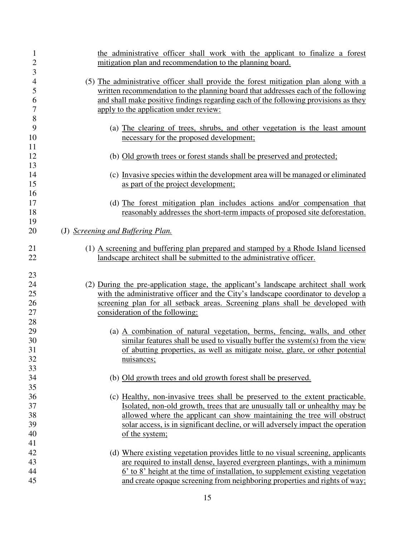| $\mathbf 1$    | the administrative officer shall work with the applicant to finalize a forest        |
|----------------|--------------------------------------------------------------------------------------|
| $\overline{c}$ | mitigation plan and recommendation to the planning board.                            |
| 3              |                                                                                      |
| $\overline{4}$ | (5) The administrative officer shall provide the forest mitigation plan along with a |
| 5              | written recommendation to the planning board that addresses each of the following    |
| 6              | and shall make positive findings regarding each of the following provisions as they  |
| 7              | apply to the application under review:                                               |
| 8              |                                                                                      |
| 9              | (a) The clearing of trees, shrubs, and other vegetation is the least amount          |
| 10             | necessary for the proposed development;                                              |
| 11             |                                                                                      |
| 12             | (b) Old growth trees or forest stands shall be preserved and protected;              |
| 13             |                                                                                      |
| 14             | (c) Invasive species within the development area will be managed or eliminated       |
| 15             | as part of the project development;                                                  |
| 16             |                                                                                      |
| 17             | (d) The forest mitigation plan includes actions and/or compensation that             |
| 18             | reasonably addresses the short-term impacts of proposed site deforestation.          |
| 19             |                                                                                      |
| 20             | (J) Screening and Buffering Plan.                                                    |
| 21             | (1) A screening and buffering plan prepared and stamped by a Rhode Island licensed   |
| 22             | landscape architect shall be submitted to the administrative officer.                |
|                |                                                                                      |
| 23             |                                                                                      |
| 24             | (2) During the pre-application stage, the applicant's landscape architect shall work |
| 25             | with the administrative officer and the City's landscape coordinator to develop a    |
| 26             | screening plan for all setback areas. Screening plans shall be developed with        |
| 27             | consideration of the following:                                                      |
| 28             |                                                                                      |
| 29             | (a) A combination of natural vegetation, berms, fencing, walls, and other            |
| 30             | similar features shall be used to visually buffer the system(s) from the view        |
| 31             | of abutting properties, as well as mitigate noise, glare, or other potential         |
| 32             | nuisances;                                                                           |
| 33             |                                                                                      |
| 34             | (b) Old growth trees and old growth forest shall be preserved.                       |
| 35             |                                                                                      |
| 36             | (c) Healthy, non-invasive trees shall be preserved to the extent practicable.        |
| 37             | Isolated, non-old growth, trees that are unusually tall or unhealthy may be          |
| 38             | allowed where the applicant can show maintaining the tree will obstruct              |
| 39             | solar access, is in significant decline, or will adversely impact the operation      |
| 40             | of the system;                                                                       |
| 41             |                                                                                      |
| 42             | (d) Where existing vegetation provides little to no visual screening, applicants     |
| 43             | are required to install dense, layered evergreen plantings, with a minimum           |
| 44             | 6' to 8' height at the time of installation, to supplement existing vegetation       |
| 45             | and create opaque screening from neighboring properties and rights of way;           |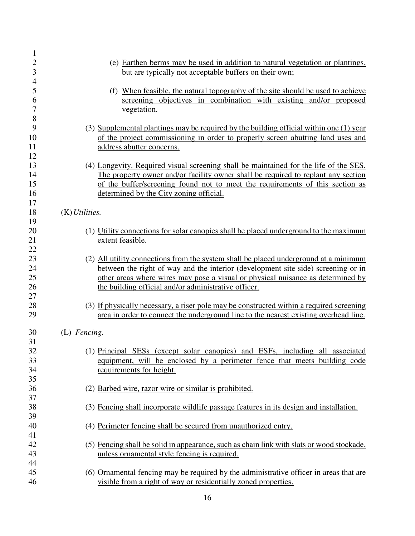| $\mathbf{1}$   |                                                                                           |
|----------------|-------------------------------------------------------------------------------------------|
| $\sqrt{2}$     | (e) Earthen berms may be used in addition to natural vegetation or plantings,             |
| $\mathfrak{Z}$ | but are typically not acceptable buffers on their own;                                    |
| $\overline{4}$ |                                                                                           |
| 5              | (f) When feasible, the natural topography of the site should be used to achieve           |
| 6              | screening objectives in combination with existing and/or proposed                         |
| 7              | vegetation.                                                                               |
| 8              |                                                                                           |
| 9              | (3) Supplemental plantings may be required by the building official within one (1) year   |
| 10             | of the project commissioning in order to properly screen abutting land uses and           |
| 11             | address abutter concerns.                                                                 |
| 12             |                                                                                           |
| 13             | (4) Longevity. Required visual screening shall be maintained for the life of the SES.     |
| 14             | The property owner and/or facility owner shall be required to replant any section         |
| 15             | of the buffer/screening found not to meet the requirements of this section as             |
| 16             | determined by the City zoning official.                                                   |
| 17             |                                                                                           |
| 18             | $(K)$ <i>Utilities.</i>                                                                   |
| 19             |                                                                                           |
| 20             | (1) Utility connections for solar canopies shall be placed underground to the maximum     |
| 21             | extent feasible.                                                                          |
| 22             |                                                                                           |
| 23             | (2) All utility connections from the system shall be placed underground at a minimum      |
| 24             | between the right of way and the interior (development site side) screening or in         |
| 25             | other areas where wires may pose a visual or physical nuisance as determined by           |
| 26             | the building official and/or administrative officer.                                      |
| 27             |                                                                                           |
| 28             | (3) If physically necessary, a riser pole may be constructed within a required screening  |
| 29             | area in order to connect the underground line to the nearest existing overhead line.      |
| 30             | (L) Fencing.                                                                              |
| 31             |                                                                                           |
| 32             | (1) Principal SESs (except solar canopies) and ESFs, including all associated             |
| 33             | equipment, will be enclosed by a perimeter fence that meets building code                 |
| 34             | requirements for height.                                                                  |
| 35             |                                                                                           |
| 36             | (2) Barbed wire, razor wire or similar is prohibited.                                     |
| 37             |                                                                                           |
| 38             | (3) Fencing shall incorporate wildlife passage features in its design and installation.   |
| 39             |                                                                                           |
| 40             | (4) Perimeter fencing shall be secured from unauthorized entry.                           |
| 41             |                                                                                           |
| 42             | (5) Fencing shall be solid in appearance, such as chain link with slats or wood stockade, |
| 43             | unless ornamental style fencing is required.                                              |
| 44             |                                                                                           |
| 45             | (6) Ornamental fencing may be required by the administrative officer in areas that are    |
| 46             | visible from a right of way or residentially zoned properties.                            |
|                |                                                                                           |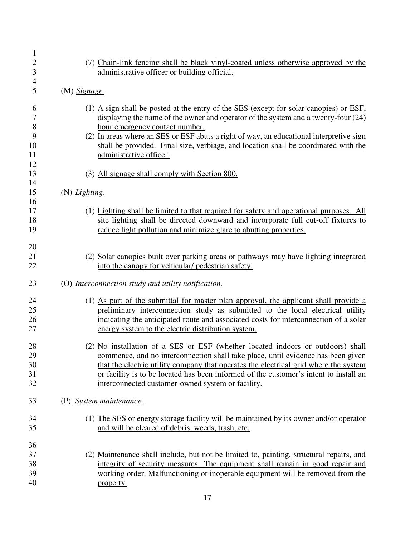| 1<br>$\overline{c}$<br>3<br>$\overline{\mathcal{A}}$ | (7) Chain-link fencing shall be black vinyl-coated unless otherwise approved by the<br>administrative officer or building official.                                                                                                                                                                                                                                                                                                                                                |
|------------------------------------------------------|------------------------------------------------------------------------------------------------------------------------------------------------------------------------------------------------------------------------------------------------------------------------------------------------------------------------------------------------------------------------------------------------------------------------------------------------------------------------------------|
| 5                                                    | $(M)$ Signage.                                                                                                                                                                                                                                                                                                                                                                                                                                                                     |
| 6<br>7<br>$8\,$<br>9<br>10<br>11<br>12<br>13         | (1) A sign shall be posted at the entry of the SES (except for solar canopies) or $ESF$ ,<br>displaying the name of the owner and operator of the system and a twenty-four $(24)$<br>hour emergency contact number.<br>(2) In areas where an SES or ESF abuts a right of way, an educational interpretive sign<br>shall be provided. Final size, verbiage, and location shall be coordinated with the<br>administrative officer.<br>(3) All signage shall comply with Section 800. |
| 14<br>15                                             |                                                                                                                                                                                                                                                                                                                                                                                                                                                                                    |
| 16                                                   | (N) Lighting.                                                                                                                                                                                                                                                                                                                                                                                                                                                                      |
| 17<br>18<br>19                                       | (1) Lighting shall be limited to that required for safety and operational purposes. All<br>site lighting shall be directed downward and incorporate full cut-off fixtures to<br>reduce light pollution and minimize glare to abutting properties.                                                                                                                                                                                                                                  |
| 20<br>21<br>22                                       | (2) Solar canopies built over parking areas or pathways may have lighting integrated<br>into the canopy for vehicular/ pedestrian safety.                                                                                                                                                                                                                                                                                                                                          |
| 23                                                   | (O) Interconnection study and utility notification.                                                                                                                                                                                                                                                                                                                                                                                                                                |
| 24<br>25<br>26<br>27                                 | (1) As part of the submittal for master plan approval, the applicant shall provide a<br>preliminary interconnection study as submitted to the local electrical utility<br>indicating the anticipated route and associated costs for interconnection of a solar<br>energy system to the electric distribution system.                                                                                                                                                               |
| 28<br>29<br>30<br>31<br>32                           | (2) No installation of a SES or ESF (whether located indoors or outdoors) shall<br>commence, and no interconnection shall take place, until evidence has been given<br>that the electric utility company that operates the electrical grid where the system<br>or facility is to be located has been informed of the customer's intent to install an<br>interconnected customer-owned system or facility.                                                                          |
| 33                                                   | (P) System maintenance.                                                                                                                                                                                                                                                                                                                                                                                                                                                            |
| 34<br>35                                             | (1) The SES or energy storage facility will be maintained by its owner and/or operator<br>and will be cleared of debris, weeds, trash, etc.                                                                                                                                                                                                                                                                                                                                        |
| 36<br>37<br>38<br>39<br>40                           | (2) Maintenance shall include, but not be limited to, painting, structural repairs, and<br>integrity of security measures. The equipment shall remain in good repair and<br>working order. Malfunctioning or inoperable equipment will be removed from the<br>property.                                                                                                                                                                                                            |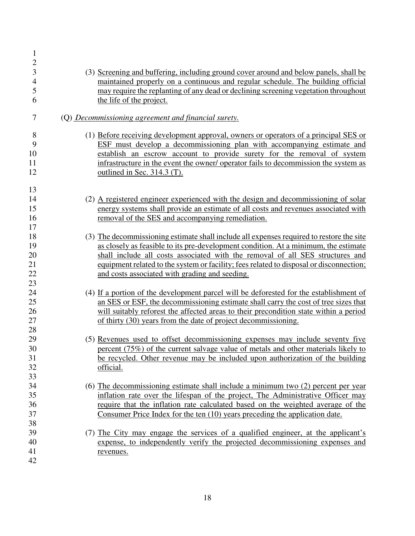| $\mathbf{1}$<br>$\boldsymbol{2}$<br>3<br>$\overline{4}$<br>5<br>6 | (3) Screening and buffering, including ground cover around and below panels, shall be<br>maintained properly on a continuous and regular schedule. The building official<br>may require the replanting of any dead or declining screening vegetation throughout<br>the life of the project.                                                                                                                   |
|-------------------------------------------------------------------|---------------------------------------------------------------------------------------------------------------------------------------------------------------------------------------------------------------------------------------------------------------------------------------------------------------------------------------------------------------------------------------------------------------|
| 7                                                                 | (Q) Decommissioning agreement and financial surety.                                                                                                                                                                                                                                                                                                                                                           |
| 8<br>9<br>10<br>11<br>12                                          | (1) Before receiving development approval, owners or operators of a principal SES or<br>ESF must develop a decommissioning plan with accompanying estimate and<br>establish an escrow account to provide surety for the removal of system<br>infrastructure in the event the owner/ operator fails to decommission the system as<br>outlined in Sec. 314.3 (T).                                               |
| 13                                                                |                                                                                                                                                                                                                                                                                                                                                                                                               |
| 14<br>15<br>16<br>17                                              | (2) A registered engineer experienced with the design and decommissioning of solar<br>energy systems shall provide an estimate of all costs and revenues associated with<br>removal of the SES and accompanying remediation.                                                                                                                                                                                  |
| 18<br>19<br>20<br>21<br>22<br>23                                  | (3) The decommissioning estimate shall include all expenses required to restore the site<br>as closely as feasible to its pre-development condition. At a minimum, the estimate<br>shall include all costs associated with the removal of all SES structures and<br>equipment related to the system or facility; fees related to disposal or disconnection;<br>and costs associated with grading and seeding. |
| 24<br>25<br>26<br>27<br>28                                        | (4) If a portion of the development parcel will be deforested for the establishment of<br>an SES or ESF, the decommissioning estimate shall carry the cost of tree sizes that<br>will suitably reforest the affected areas to their precondition state within a period<br>of thirty (30) years from the date of project decommissioning.                                                                      |
| 29<br>30<br>31<br>32<br>33                                        | (5) Revenues used to offset decommissioning expenses may include seventy five<br>percent (75%) of the current salvage value of metals and other materials likely to<br>be recycled. Other revenue may be included upon authorization of the building<br>official.                                                                                                                                             |
| 34<br>35<br>36<br>37                                              | (6) The decommissioning estimate shall include a minimum two (2) percent per year<br>inflation rate over the lifespan of the project, The Administrative Officer may<br>require that the inflation rate calculated based on the weighted average of the<br>Consumer Price Index for the ten (10) years preceding the application date.                                                                        |
| 38<br>39<br>40<br>41<br>42                                        | (7) The City may engage the services of a qualified engineer, at the applicant's<br>expense, to independently verify the projected decommissioning expenses and<br>revenues.                                                                                                                                                                                                                                  |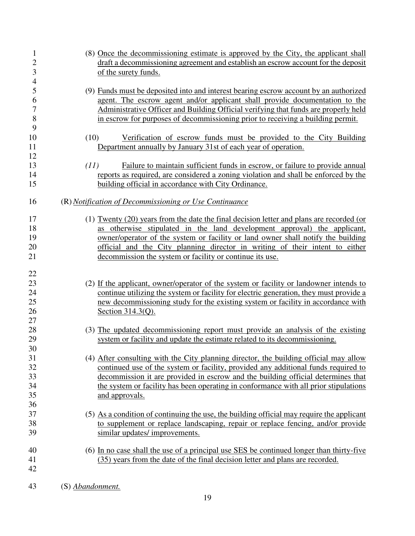| 1<br>$\overline{c}$<br>3 | (8) Once the decommissioning estimate is approved by the City, the applicant shall<br>draft a decommissioning agreement and establish an escrow account for the deposit<br>of the surety funds. |
|--------------------------|-------------------------------------------------------------------------------------------------------------------------------------------------------------------------------------------------|
| $\overline{4}$<br>5      | (9) Funds must be deposited into and interest bearing escrow account by an authorized                                                                                                           |
| 6                        | agent. The escrow agent and/or applicant shall provide documentation to the                                                                                                                     |
| $\overline{7}$           | Administrative Officer and Building Official verifying that funds are properly held                                                                                                             |
| 8                        | in escrow for purposes of decommissioning prior to receiving a building permit.                                                                                                                 |
| 9                        |                                                                                                                                                                                                 |
| 10                       | (10)<br>Verification of escrow funds must be provided to the City Building                                                                                                                      |
| 11                       | Department annually by January 31st of each year of operation.                                                                                                                                  |
| 12                       |                                                                                                                                                                                                 |
| 13                       | Failure to maintain sufficient funds in escrow, or failure to provide annual<br>(11)                                                                                                            |
| 14                       | reports as required, are considered a zoning violation and shall be enforced by the                                                                                                             |
| 15                       | building official in accordance with City Ordinance.                                                                                                                                            |
| 16                       | (R) Notification of Decommissioning or Use Continuance                                                                                                                                          |
| 17                       | (1) Twenty (20) years from the date the final decision letter and plans are recorded (or                                                                                                        |
| 18                       | as otherwise stipulated in the land development approval) the applicant,                                                                                                                        |
| 19                       | owner/operator of the system or facility or land owner shall notify the building                                                                                                                |
| 20                       | official and the City planning director in writing of their intent to either                                                                                                                    |
| 21                       | decommission the system or facility or continue its use.                                                                                                                                        |
|                          |                                                                                                                                                                                                 |
| 22                       |                                                                                                                                                                                                 |
| 23                       | (2) If the applicant, owner/operator of the system or facility or landowner intends to                                                                                                          |
| 24                       | continue utilizing the system or facility for electric generation, they must provide a                                                                                                          |
| 25                       | new decommissioning study for the existing system or facility in accordance with                                                                                                                |
| 26                       | Section 314.3(Q).                                                                                                                                                                               |
| 27                       |                                                                                                                                                                                                 |
| 28                       | (3) The updated decommissioning report must provide an analysis of the existing                                                                                                                 |
| 29                       | system or facility and update the estimate related to its decommissioning.                                                                                                                      |
| 30                       |                                                                                                                                                                                                 |
| 31                       | (4) After consulting with the City planning director, the building official may allow                                                                                                           |
| 32                       | continued use of the system or facility, provided any additional funds required to                                                                                                              |
| 33                       | decommission it are provided in escrow and the building official determines that                                                                                                                |
| 34                       | the system or facility has been operating in conformance with all prior stipulations                                                                                                            |
| 35                       | and approvals.                                                                                                                                                                                  |
| 36                       |                                                                                                                                                                                                 |
| 37                       | (5) As a condition of continuing the use, the building official may require the applicant                                                                                                       |
| 38                       | to supplement or replace landscaping, repair or replace fencing, and/or provide                                                                                                                 |
| 39                       | similar updates/improvements.                                                                                                                                                                   |
| 40                       | (6) In no case shall the use of a principal use SES be continued longer than thirty-five                                                                                                        |
| 41                       | (35) years from the date of the final decision letter and plans are recorded.                                                                                                                   |
| 42                       |                                                                                                                                                                                                 |
| 43                       | (S) Abandonment.                                                                                                                                                                                |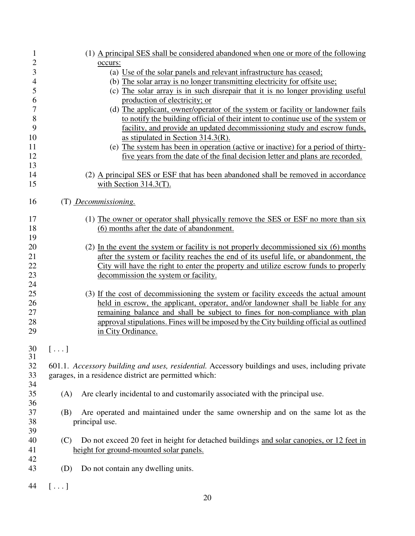| 1              |                | (1) A principal SES shall be considered abandoned when one or more of the following              |
|----------------|----------------|--------------------------------------------------------------------------------------------------|
| $\overline{c}$ |                | occurs:                                                                                          |
| 3              |                | (a) Use of the solar panels and relevant infrastructure has ceased;                              |
| $\overline{4}$ |                | (b) The solar array is no longer transmitting electricity for offsite use;                       |
| 5              |                | (c) The solar array is in such disrepair that it is no longer providing useful                   |
| 6              |                | production of electricity; or                                                                    |
| $\overline{7}$ |                | (d) The applicant, owner/operator of the system or facility or landowner fails                   |
| 8              |                | to notify the building official of their intent to continue use of the system or                 |
| 9              |                | facility, and provide an updated decommissioning study and escrow funds,                         |
| 10             |                | as stipulated in Section $314.3(R)$ .                                                            |
| 11             |                | (e) The system has been in operation (active or inactive) for a period of thirty-                |
| 12             |                | five years from the date of the final decision letter and plans are recorded.                    |
| 13             |                |                                                                                                  |
| 14             |                |                                                                                                  |
|                |                | (2) A principal SES or ESF that has been abandoned shall be removed in accordance                |
| 15             |                | with Section $314.3(T)$ .                                                                        |
| 16             |                | (T) Decommissioning.                                                                             |
| 17             |                | (1) The owner or operator shall physically remove the SES or ESF no more than six                |
| 18             |                | (6) months after the date of abandonment.                                                        |
| 19             |                |                                                                                                  |
| 20             |                | (2) In the event the system or facility is not properly decommissioned six (6) months            |
| 21             |                | after the system or facility reaches the end of its useful life, or abandonment, the             |
| 22             |                | City will have the right to enter the property and utilize escrow funds to properly              |
| 23             |                |                                                                                                  |
| 24             |                | decommission the system or facility.                                                             |
|                |                |                                                                                                  |
| 25             |                | (3) If the cost of decommissioning the system or facility exceeds the actual amount              |
| 26             |                | held in escrow, the applicant, operator, and/or landowner shall be liable for any                |
| 27             |                | remaining balance and shall be subject to fines for non-compliance with plan                     |
| 28             |                | approval stipulations. Fines will be imposed by the City building official as outlined           |
| 29             |                | in City Ordinance.                                                                               |
| 30             | $[\ldots]$     |                                                                                                  |
| 31             |                |                                                                                                  |
| 32             |                | 601.1. Accessory building and uses, residential. Accessory buildings and uses, including private |
| 33             |                | garages, in a residence district are permitted which:                                            |
| 34             |                |                                                                                                  |
| 35             | (A)            | Are clearly incidental to and customarily associated with the principal use.                     |
| 36             |                |                                                                                                  |
| 37             | (B)            | Are operated and maintained under the same ownership and on the same lot as the                  |
| 38             |                | principal use.                                                                                   |
| 39             |                |                                                                                                  |
| 40             | (C)            | Do not exceed 20 feet in height for detached buildings and solar canopies, or 12 feet in         |
| 41             |                | height for ground-mounted solar panels.                                                          |
| 42             |                |                                                                                                  |
| 43             | (D)            | Do not contain any dwelling units.                                                               |
| 44             | $[\,\ldots\,]$ |                                                                                                  |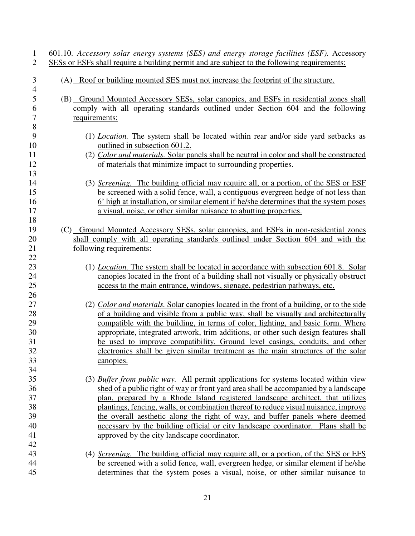| $\mathbf{1}$<br>$\overline{2}$ | 601.10. Accessory solar energy systems (SES) and energy storage facilities (ESF). Accessory<br><u>SESs or ESFs shall require a building permit and are subject to the following requirements:</u> |
|--------------------------------|---------------------------------------------------------------------------------------------------------------------------------------------------------------------------------------------------|
|                                |                                                                                                                                                                                                   |
| 3                              | (A) Roof or building mounted SES must not increase the footprint of the structure.                                                                                                                |
| $\overline{4}$<br>5            | (B) Ground Mounted Accessory SESs, solar canopies, and ESFs in residential zones shall                                                                                                            |
| 6                              | comply with all operating standards outlined under Section 604 and the following                                                                                                                  |
| $\overline{7}$                 | <u>requirements:</u>                                                                                                                                                                              |
| 8                              |                                                                                                                                                                                                   |
| 9                              | (1) <i>Location</i> . The system shall be located within rear and/or side yard setbacks as                                                                                                        |
| 10                             | outlined in subsection 601.2.                                                                                                                                                                     |
| 11                             | (2) Color and materials. Solar panels shall be neutral in color and shall be constructed                                                                                                          |
| 12                             | of materials that minimize impact to surrounding properties.                                                                                                                                      |
| 13                             |                                                                                                                                                                                                   |
| 14                             | (3) Screening. The building official may require all, or a portion, of the SES or ESF                                                                                                             |
| 15                             | be screened with a solid fence, wall, a contiguous evergreen hedge of not less than                                                                                                               |
| 16                             | 6' high at installation, or similar element if he/she determines that the system poses                                                                                                            |
| 17                             | a visual, noise, or other similar nuisance to abutting properties.                                                                                                                                |
| 18                             |                                                                                                                                                                                                   |
| 19                             | (C) Ground Mounted Accessory SESs, solar canopies, and ESFs in non-residential zones                                                                                                              |
| 20                             | shall comply with all operating standards outlined under Section 604 and with the                                                                                                                 |
| 21                             | following requirements:                                                                                                                                                                           |
| 22                             |                                                                                                                                                                                                   |
| 23                             | (1) <i>Location</i> . The system shall be located in accordance with subsection 601.8. Solar                                                                                                      |
| 24                             | canopies located in the front of a building shall not visually or physically obstruct                                                                                                             |
| 25                             | access to the main entrance, windows, signage, pedestrian pathways, etc.                                                                                                                          |
| 26                             |                                                                                                                                                                                                   |
| 27                             | (2) Color and materials. Solar canopies located in the front of a building, or to the side                                                                                                        |
| 28                             | of a building and visible from a public way, shall be visually and architecturally                                                                                                                |
| 29                             | compatible with the building, in terms of color, lighting, and basic form. Where                                                                                                                  |
| 30                             | appropriate, integrated artwork, trim additions, or other such design features shall                                                                                                              |
| 31                             | be used to improve compatibility. Ground level casings, conduits, and other<br>electronics shall be given similar treatment as the main structures of the solar                                   |
| 32                             |                                                                                                                                                                                                   |
| 33<br>34                       | canopies.                                                                                                                                                                                         |
| 35                             | (3) Buffer from public way. All permit applications for systems located within view                                                                                                               |
| 36                             | shed of a public right of way or front yard area shall be accompanied by a landscape                                                                                                              |
| 37                             | plan, prepared by a Rhode Island registered landscape architect, that utilizes                                                                                                                    |
| 38                             | plantings, fencing, walls, or combination thereof to reduce visual nuisance, improve                                                                                                              |
| 39                             | the overall aesthetic along the right of way, and buffer panels where deemed                                                                                                                      |
| 40                             | necessary by the building official or city landscape coordinator. Plans shall be                                                                                                                  |
| 41                             | approved by the city landscape coordinator.                                                                                                                                                       |
| 42                             |                                                                                                                                                                                                   |
| 43                             | (4) Screening. The building official may require all, or a portion, of the SES or EFS                                                                                                             |
| 44                             | be screened with a solid fence, wall, evergreen hedge, or similar element if he/she                                                                                                               |
| 45                             | determines that the system poses a visual, noise, or other similar nuisance to                                                                                                                    |